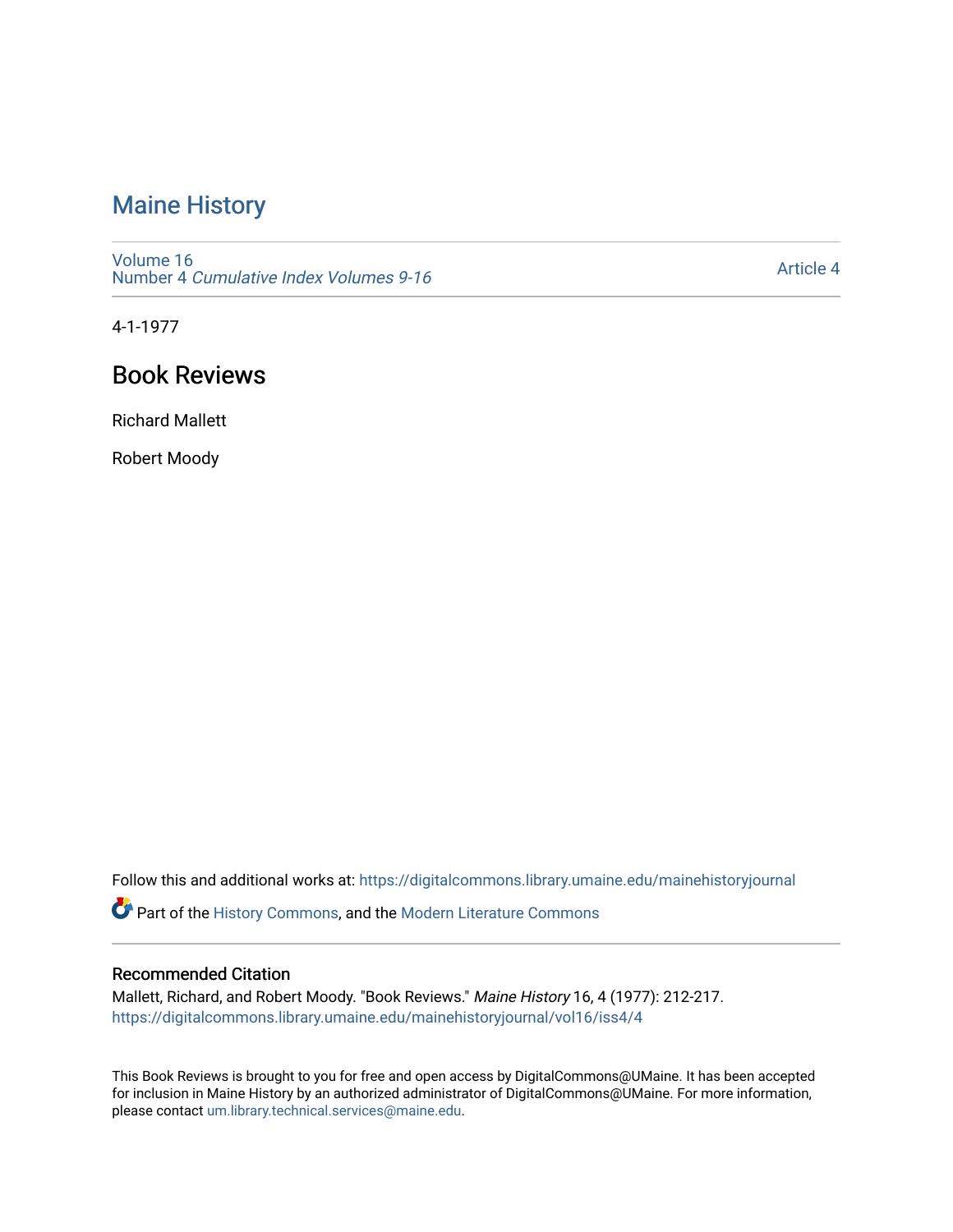## [Maine History](https://digitalcommons.library.umaine.edu/mainehistoryjournal)

[Volume 16](https://digitalcommons.library.umaine.edu/mainehistoryjournal/vol16) Number 4 [Cumulative Index Volumes 9-16](https://digitalcommons.library.umaine.edu/mainehistoryjournal/vol16/iss4) 

[Article 4](https://digitalcommons.library.umaine.edu/mainehistoryjournal/vol16/iss4/4) 

4-1-1977

## Book Reviews

Richard Mallett

Robert Moody

Follow this and additional works at: [https://digitalcommons.library.umaine.edu/mainehistoryjournal](https://digitalcommons.library.umaine.edu/mainehistoryjournal?utm_source=digitalcommons.library.umaine.edu%2Fmainehistoryjournal%2Fvol16%2Fiss4%2F4&utm_medium=PDF&utm_campaign=PDFCoverPages) 

Part of the [History Commons,](http://network.bepress.com/hgg/discipline/489?utm_source=digitalcommons.library.umaine.edu%2Fmainehistoryjournal%2Fvol16%2Fiss4%2F4&utm_medium=PDF&utm_campaign=PDFCoverPages) and the [Modern Literature Commons](http://network.bepress.com/hgg/discipline/1050?utm_source=digitalcommons.library.umaine.edu%2Fmainehistoryjournal%2Fvol16%2Fiss4%2F4&utm_medium=PDF&utm_campaign=PDFCoverPages)

## Recommended Citation

Mallett, Richard, and Robert Moody. "Book Reviews." Maine History 16, 4 (1977): 212-217. [https://digitalcommons.library.umaine.edu/mainehistoryjournal/vol16/iss4/4](https://digitalcommons.library.umaine.edu/mainehistoryjournal/vol16/iss4/4?utm_source=digitalcommons.library.umaine.edu%2Fmainehistoryjournal%2Fvol16%2Fiss4%2F4&utm_medium=PDF&utm_campaign=PDFCoverPages)

This Book Reviews is brought to you for free and open access by DigitalCommons@UMaine. It has been accepted for inclusion in Maine History by an authorized administrator of DigitalCommons@UMaine. For more information, please contact [um.library.technical.services@maine.edu.](mailto:um.library.technical.services@maine.edu)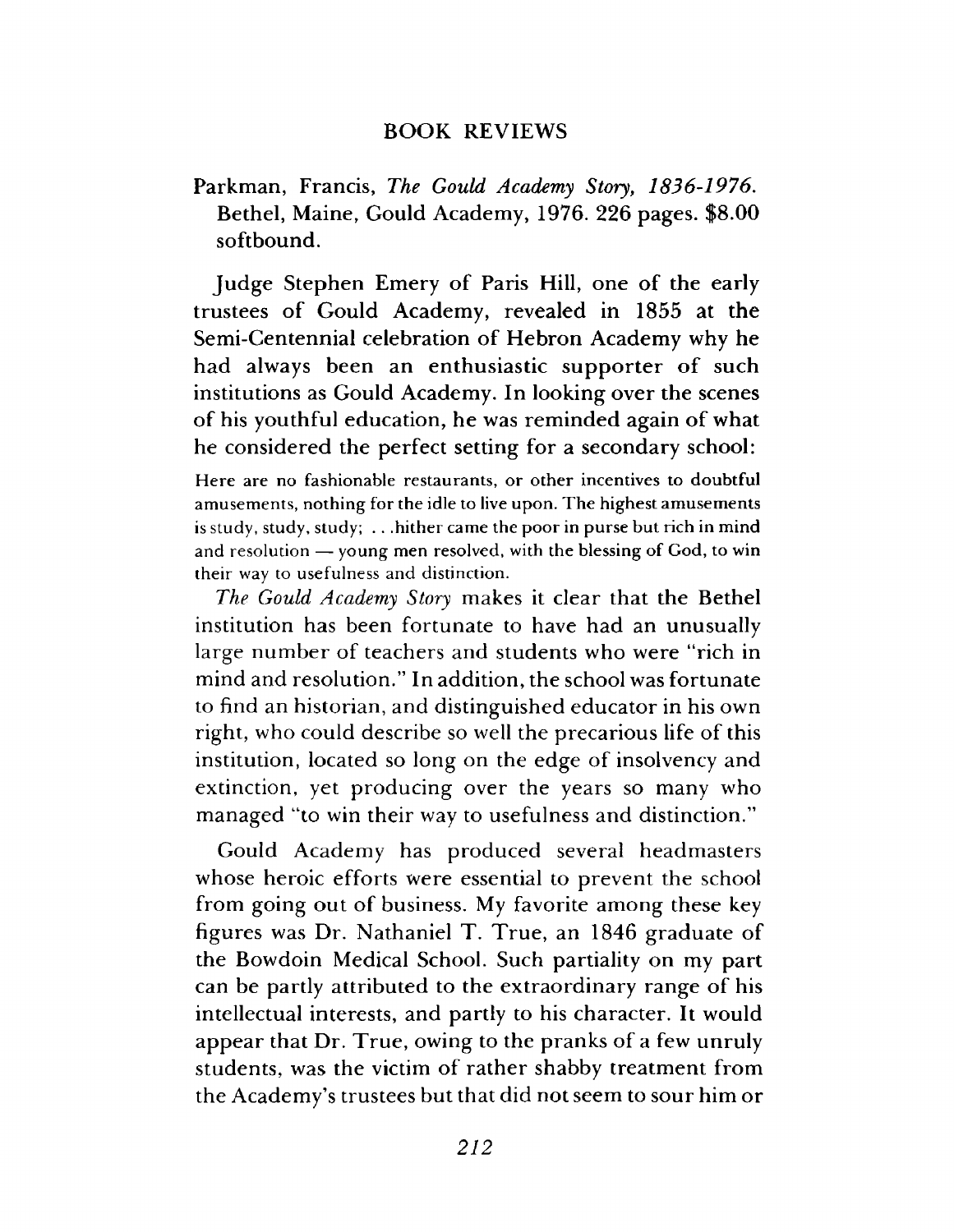## **BOOK REVIEWS**

Parkm an, Francis, *The Gould Academy Story, 1836-1976*. Bethel, Maine, Gould Academy, 1976. 226 pages. \$8.00 softbound.

Judge Stephen Emery of Paris Hill, one of the early trustees of Gould Academy, revealed in 1855 at the Semi-Centennial celebration of Hebron Academy why he had always been an enthusiastic supporter of such institutions as Gould Academy. In looking over the scenes of his youthful education, he was reminded again of what he considered the perfect setting for a secondary school:

**Here are no fashionable restaurants, or other incentives to doubtful amusements, nothing for the idle to live upon. The highest amusements is study, study, study; . . .hither came the poor in purse but rich in mind and resolution — young men resolved, with the blessing of God, to win their way to usefulness and distinction.**

*The Gould Academy Story* makes it clear that the Bethel institution has been fortunate to have had an unusually large number of teachers and students who were "rich in mind and resolution." In addition, the school was fortunate to find an historian, and distinguished educator in his own right, who could describe so well the precarious life of this institution, located so long on the edge of insolvency and extinction, yet producing over the years so many who managed "to win their way to usefulness and distinction."

Gould Academy has produced several headmasters whose heroic efforts were essential to prevent the school from going out of business. My favorite among these key figures was Dr. Nathaniel T. True, an 1846 graduate of the Bowdoin Medical School. Such partiality on my part can be partly attributed to the extraordinary range of his intellectual interests, and partly to his character. It would appear that Dr. True, owing to the pranks of a few unruly students, was the victim of rather shabby treatment from the Academy's trustees but that did not seem to sour him or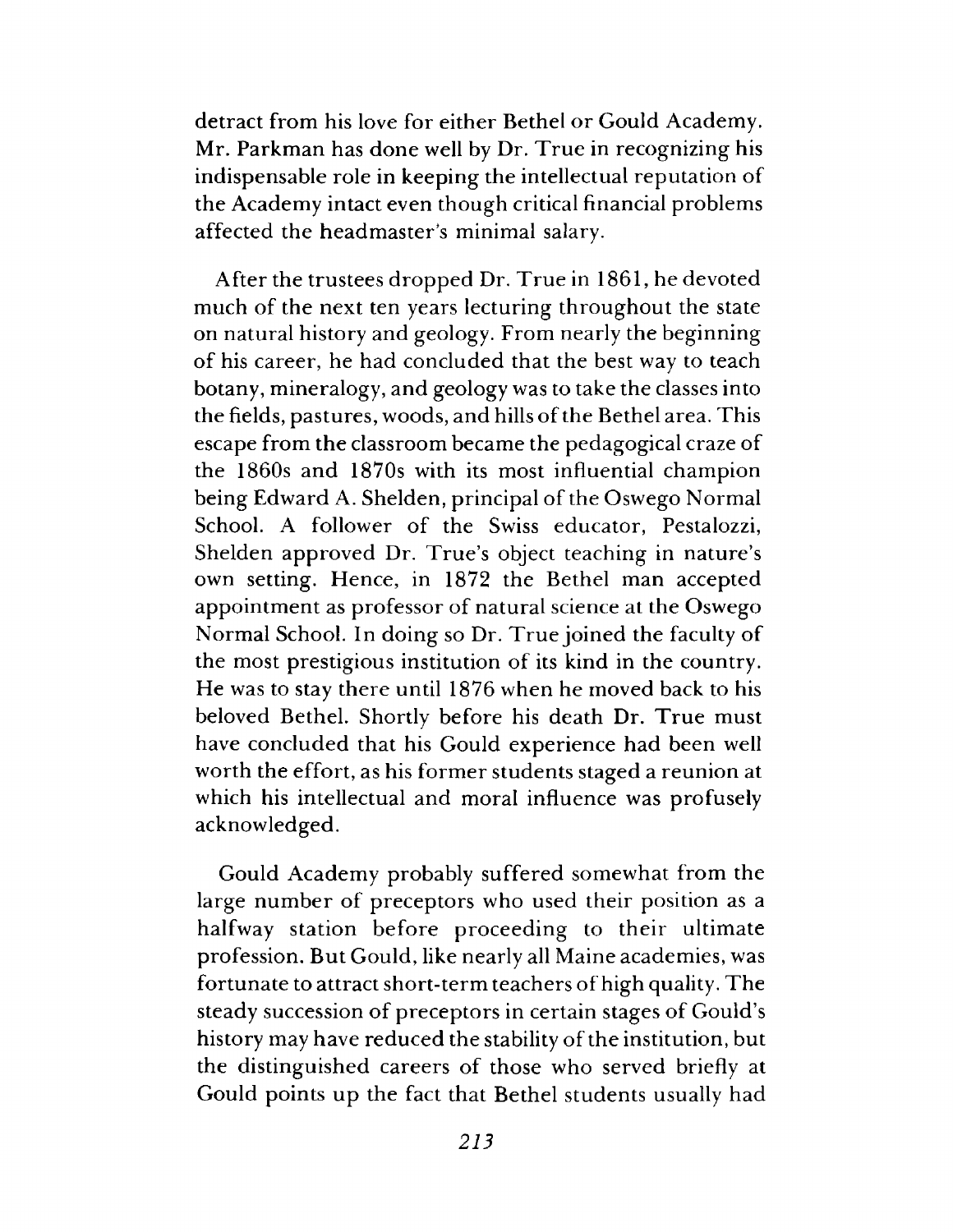detract from his love for either Bethel or Gould Academy. Mr. Parkman has done well by Dr. True in recognizing his indispensable role in keeping the intellectual reputation of the Academy intact even though critical financial problems affected the headmaster's minimal salary.

After the trustees dropped Dr. True in 1861, he devoted much of the next ten years lecturing throughout the state on natural history and geology. From nearly the beginning of his career, he had concluded that the best way to teach botany, mineralogy, and geology was to take the classes into the fields, pastures, woods, and hills of the Bethel area. This escape from the classroom became the pedagogical craze of the 1860s and 1870s with its most influential cham pion being Edward A. Shelden, principal of the Oswego Normal School. A follower of the Swiss educator, Pestalozzi, Shelden approved Dr. True's object teaching in nature's own setting. Hence, in 1872 the Bethel man accepted appointment as professor of natural science at the Oswego Normal School. In doing so Dr. True joined the faculty of the most prestigious institution of its kind in the country. He was to stay there until 1876 when he moved back to his beloved Bethel. Shortly before his death Dr. True must have concluded that his Gould experience had been well worth the effort, as his former students staged a reunion at which his intellectual and moral influence was profusely acknowledged.

Gould Academy probably suffered somewhat from the large number of preceptors who used their position as a halfway station before proceeding to their ultimate profession. But Gould, like nearly all Maine academies, was fortunate to attract short-term teachers of high quality. The steady succession of preceptors in certain stages of Gould's history may have reduced the stability of the institution, but the distinguished careers of those who served briefly at Gould points up the fact that Bethel students usually had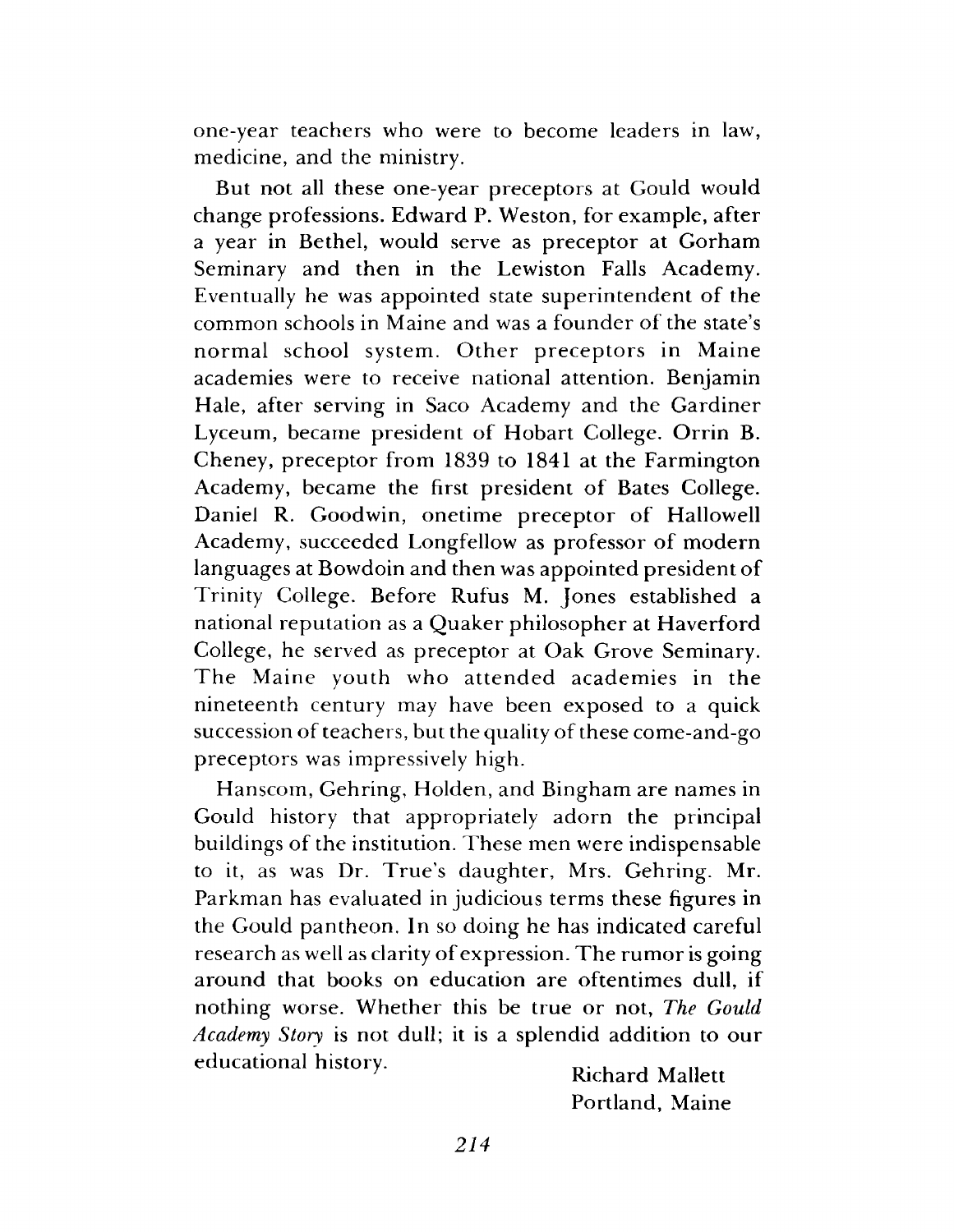one-year teachers who were to become leaders in law, medicine, and the ministry.

But not all these one-year preceptors at Gould would change professions. Edward P. Weston, for example, after a year in Bethel, would serve as preceptor at Gorham Seminary and then in the Lewiston Falls Academy. Eventually he was appointed state superintendent of the common schools in Maine and was a founder of the state's normal school system. Other preceptors in Maine academies were to receive national attention. Benjamin Hale, after serving in Saco Academy and the Gardiner Lyceum, became president of Hobart College. Orrin B. Cheney, preceptor from 1839 to 1841 at the Farmington Academy, became the first president of Bates College. Daniel R. Goodwin, onetime preceptor of Hallowell Academy, succeeded Longfellow as professor of modern languages at Bowdoin and then was appointed president of Trinity College. Before Rufus M. Jones established a national reputation as a Quaker philosopher at Haverford College, he served as preceptor at Oak Grove Seminary. The Maine youth who attended academies in the nineteenth century may have been exposed to a quick succession of teachers, but the quality of these come-and-go preceptors was impressively high.

Hanscom, Gehring, Holden, and Bingham are names in Gould history that appropriately adorn the principal buildings of the institution. These men were indispensable to it, as was Dr. True's daughter, Mrs. Gehring. Mr. Parkm an has evaluated in judicious terms these figures in the Gould pantheon. In so doing he has indicated careful research as well as clarity of expression. The rumor is going around that books on education are oftentimes dull, if nothing worse. W hether this be true or not, *The Gould Academy Story* is not dull; it is a splendid addition to our educational history. " *<sup>7</sup>* Richard M allett

Portland, Maine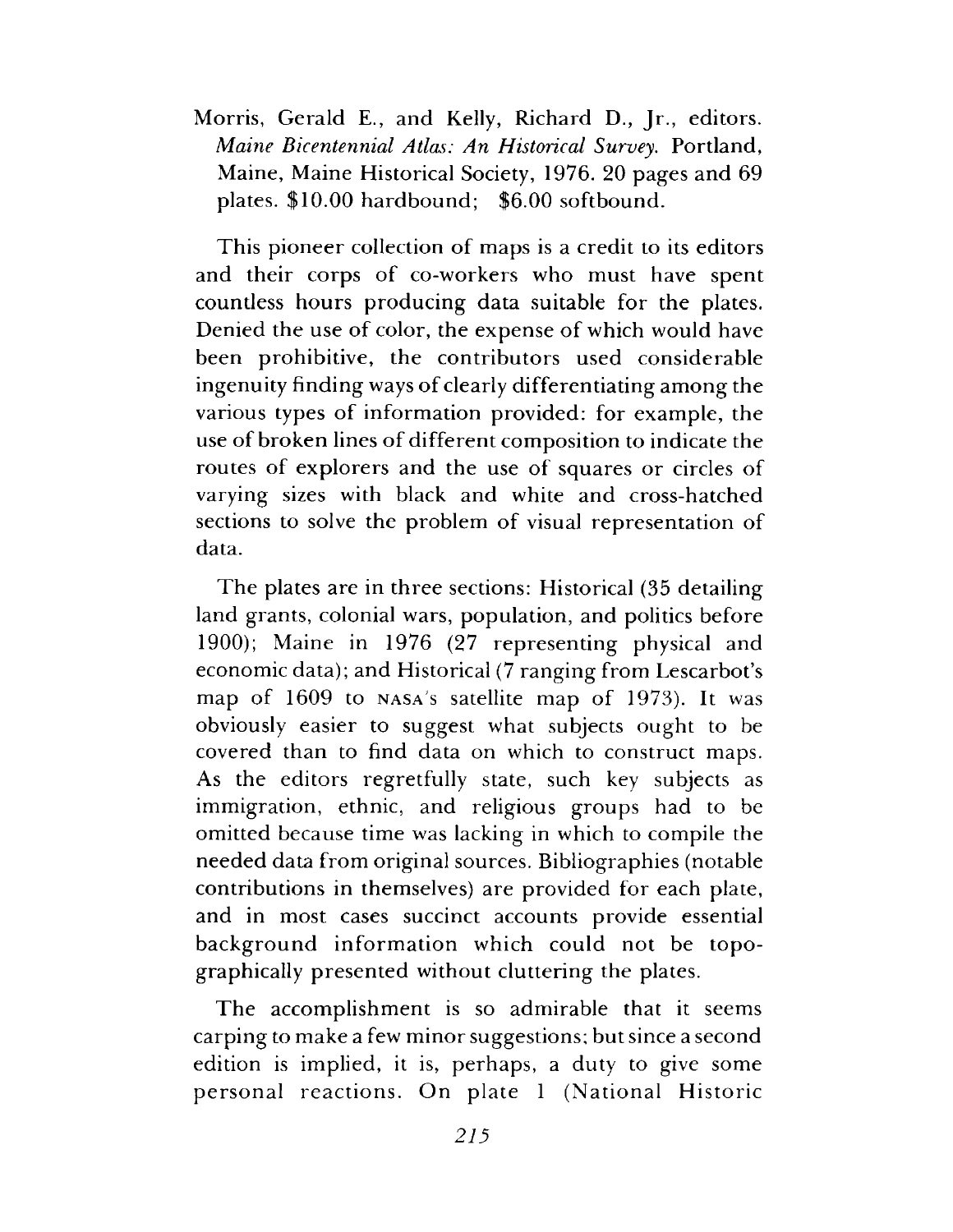Morris, Gerald E., and Kelly, Richard D., Jr., editors. *Maine Bicentennial Atlas: An Historical Survey*. Portland, Maine, Maine Historical Society, 1976. 20 pages and 69 plates.  $$10.00$  hardbound;  $$6.00$  softbound.

This pioneer collection of maps is a credit to its editors and their corps of co-workers who must have spent countless hours producing data suitable for the plates. Denied the use of color, the expense of which would have been prohibitive, the contributors used considerable ingenuity finding ways of clearly differentiating among the various types of information provided: for example, the use of broken lines of different composition to indicate the routes of explorers and the use of squares or circles of varying sizes with black and white and cross-hatched sections to solve the problem of visual representation of data.

The plates are in three sections: Historical (35 detailing land grants, colonial wars, population, and politics before 1900); Maine in 1976 (27 representing physical and economic data); and Historical (7 ranging from Lescarbot's map of 1609 to NASA's satellite map of 1973). It was obviously easier to suggest what subjects ought to be covered than to find data on which to construct maps. As the editors regretfully state, such key subjects as immigration, ethnic, and religious groups had to be omitted because time was lacking in which to compile the needed data from original sources. Bibliographies (notable contributions in themselves) are provided for each plate, and in most cases succinct accounts provide essential background information which could not be topographically presented without cluttering the plates.

The accomplishment is so admirable that it seems carping to make a few minor suggestions; but since a second edition is implied, it is, perhaps, a duty to give some personal reactions. On plate 1 (National Historic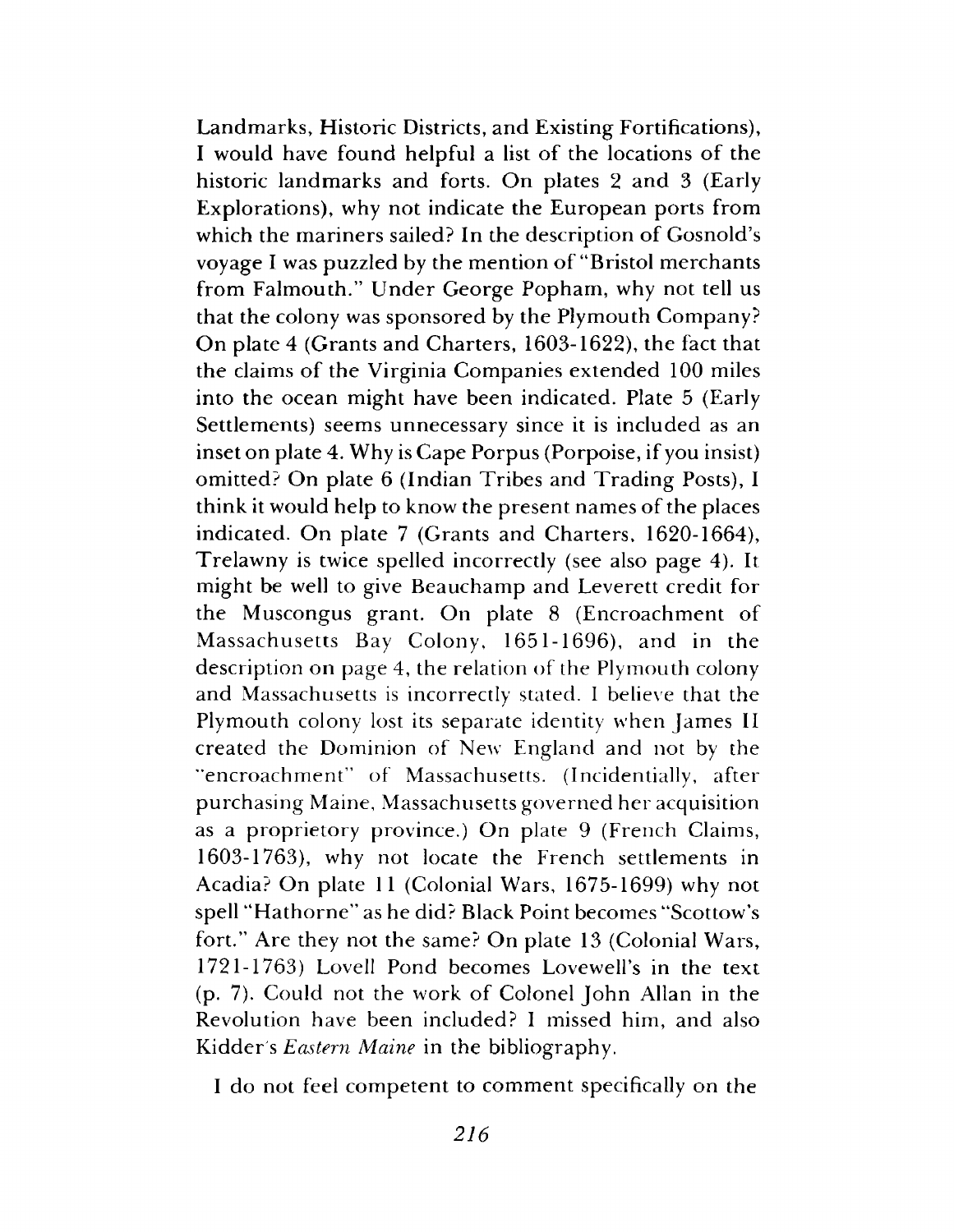Landmarks, Historic Districts, and Existing Fortifications), I would have found helpful a list of the locations of the historic landmarks and forts. On plates 2 and 3 (Early Explorations), why not indicate the European ports from which the mariners sailed? In the description of Gosnold's voyage I was puzzled by the mention of "Bristol merchants" from Falmouth." Under George Popham, why not tell us that the colony was sponsored by the Plymouth Company? On plate 4 (Grants and Charters, 1603-1622), the fact that the claims of the Virginia Companies extended 100 miles into the ocean might have been indicated. Plate 5 (Early Settlements) seems unnecessary since it is included as an inset on plate 4. Why is Cape Porpus (Porpoise, if you insist) omitted? On plate 6 (Indian Tribes and Trading Posts), I think it would help to know the present names of the places indicated. On plate 7 (Grants and Charters, 1620-1664), Trelawny is twice spelled incorrectly (see also page 4). It might be well to give Beauchamp and Leverett credit for the Muscongus grant. On plate 8 (Encroachment of Massachusetts Bay Colony, 1651-1696), and in the description on page 4, the relation of the Plymouth colony and Massachusetts is incorrectly stated. I believe that the Plymouth colony lost its separate identity when James II created the Dominion of New England and not by the "encroachment" of Massachusetts. (Incidentially, after purchasing Maine, Massachusetts governed her acquisition as a proprietory province.) On plate 9 (French Claims, 1603-1763), why not locate the French settlements in Acadia? On plate 11 (Colonial Wars, 1675-1699) why not spell "Hathorne" as he did? Black Point becomes "Scottow's fort." Are they not the same? On plate  $13$  (Colonial Wars, 1721-1763) Lovell Pond becomes Lovewell's in the text  $(p. 7)$ . Could not the work of Colonel John Allan in the Revolution have been included? I missed him, and also Kidder's *Eastern Maine* in the bibliography.

I do not feel competent to comment specifically on the